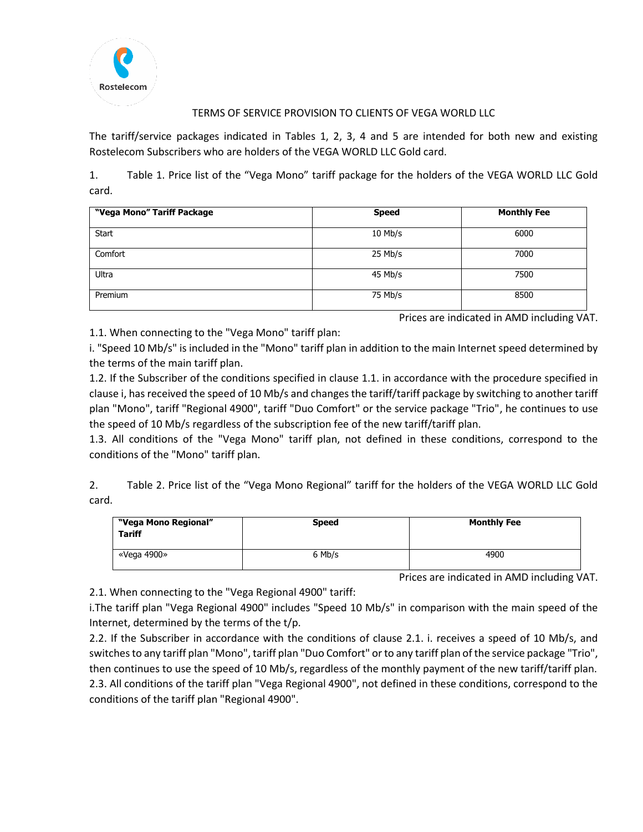

## TERMS OF SERVICE PROVISION TO CLIENTS OF VEGA WORLD LLC

The tariff/service packages indicated in Tables 1, 2, 3, 4 and 5 are intended for both new and existing Rostelecom Subscribers who are holders of the VEGA WORLD LLC Gold card.

1. Table 1. Price list of the "Vega Mono" tariff package for the holders of the VEGA WORLD LLC Gold card.

| "Vega Mono" Tariff Package | <b>Speed</b> | <b>Monthly Fee</b> |
|----------------------------|--------------|--------------------|
| <b>Start</b>               | $10$ Mb/s    | 6000               |
| Comfort                    | 25 Mb/s      | 7000               |
| Ultra                      | 45 Mb/s      | 7500               |
| Premium                    | 75 Mb/s      | 8500               |

Prices are indicated in AMD including VAT.

1.1. When connecting to the "Vega Mono" tariff plan:

i. "Speed 10 Mb/s" is included in the "Mono" tariff plan in addition to the main Internet speed determined by the terms of the main tariff plan.

1.2. If the Subscriber of the conditions specified in clause 1.1. in accordance with the procedure specified in clause i, has received the speed of 10 Mb/s and changes the tariff/tariff package by switching to another tariff plan "Mono", tariff "Regional 4900", tariff "Duo Comfort" or the service package "Trio", he continues to use the speed of 10 Mb/s regardless of the subscription fee of the new tariff/tariff plan.

1.3. All conditions of the "Vega Mono" tariff plan, not defined in these conditions, correspond to the conditions of the "Mono" tariff plan.

2. Table 2. Price list of the "Vega Mono Regional" tariff for the holders of the VEGA WORLD LLC Gold card.

| "Vega Mono Regional"<br><b>Tariff</b> | <b>Speed</b> | <b>Monthly Fee</b> |
|---------------------------------------|--------------|--------------------|
| «Vega 4900»                           | 6 Mb/s       | 4900               |

Prices are indicated in AMD including VAT.

2.1. When connecting to the "Vega Regional 4900" tariff:

i.The tariff plan "Vega Regional 4900" includes "Speed 10 Mb/s" in comparison with the main speed of the Internet, determined by the terms of the t/p.

2.2. If the Subscriber in accordance with the conditions of clause 2.1. i. receives a speed of 10 Mb/s, and switches to any tariff plan "Mono", tariff plan "Duo Comfort" or to any tariff plan of the service package "Trio", then continues to use the speed of 10 Mb/s, regardless of the monthly payment of the new tariff/tariff plan. 2.3. All conditions of the tariff plan "Vega Regional 4900", not defined in these conditions, correspond to the conditions of the tariff plan "Regional 4900".